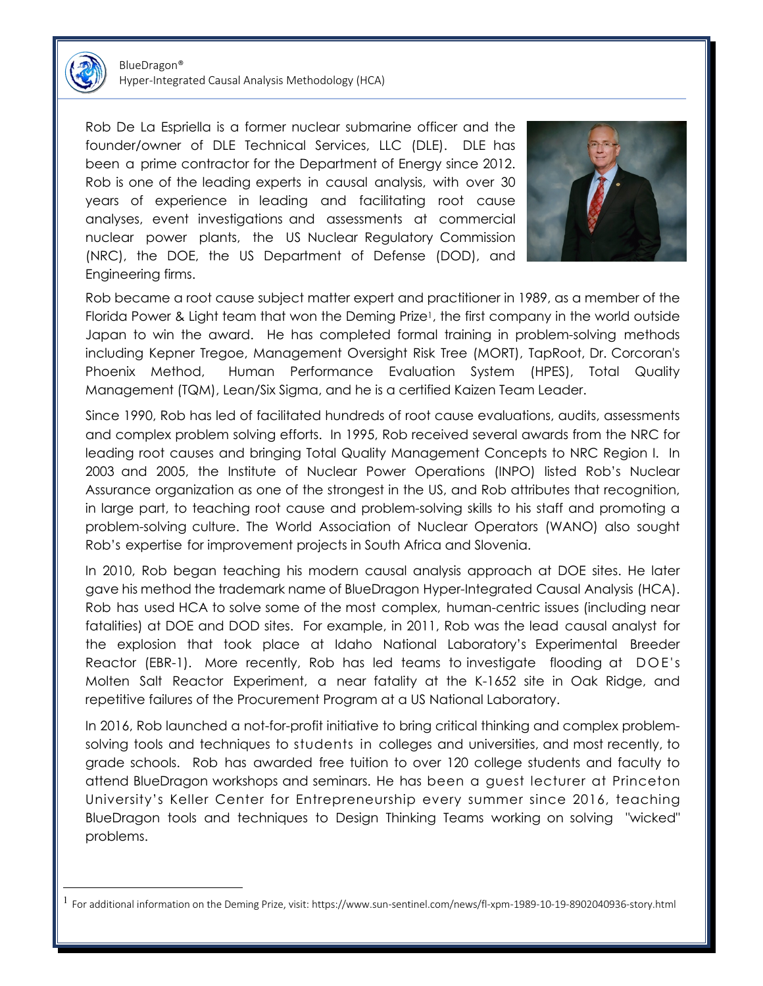

BlueDragon® Hyper-Integrated Causal Analysis Methodology (HCA)

Rob De La Espriella is a former nuclear submarine officer and the founder/owner of DLE Technical Services, LLC (DLE). DLE has been a prime contractor for the Department of Energy since 2012. Rob is one of the leading experts in causal analysis, with over 30 years of experience in leading and facilitating root cause analyses, event investigations and assessments at commercial nuclear power plants, the US Nuclear Regulatory Commission (NRC), the DOE, the US Department of Defense (DOD), and Engineering firms.



Rob became a root cause subject matter expert and practitioner in 1989, as a member of the Florida Power & Light team that won the Deming Prize1, the first company in the world outside Japan to win the award. He has completed formal training in problem-solving methods including Kepner Tregoe, Management Oversight Risk Tree (MORT), TapRoot, Dr. Corcoran's Phoenix Method, Human Performance Evaluation System (HPES), Total Quality Management (TQM), Lean/Six Sigma, and he is a certified Kaizen Team Leader.

Since 1990, Rob has led of facilitated hundreds of root cause evaluations, audits, assessments and complex problem solving efforts. In 1995, Rob received several awards from the NRC for leading root causes and bringing Total Quality Management Concepts to NRC Region I. In 2003 and 2005, the Institute of Nuclear Power Operations (INPO) listed Rob's Nuclear Assurance organization as one of the strongest in the US, and Rob attributes that recognition, in large part, to teaching root cause and problem-solving skills to his staff and promoting a problem-solving culture. The World Association of Nuclear Operators (WANO) also sought Rob's expertise for improvement projects in South Africa and Slovenia.

In 2010, Rob began teaching his modern causal analysis approach at DOE sites. He later gave his method the trademark name of BlueDragon Hyper-Integrated Causal Analysis (HCA). Rob has used HCA to solve some of the most complex, human-centric issues (including near fatalities) at DOE and DOD sites. For example, in 2011, Rob was the lead causal analyst for the explosion that took place at Idaho National Laboratory's Experimental Breeder Reactor (EBR-1). More recently, Rob has led teams to investigate flooding at DOE's Molten Salt Reactor Experiment, a near fatality at the K-1652 site in Oak Ridge, and repetitive failures of the Procurement Program at a US National Laboratory.

In 2016, Rob launched a not-for-profit initiative to bring critical thinking and complex problemsolving tools and techniques to students in colleges and universities, and most recently, to grade schools. Rob has awarded free tuition to over 120 college students and faculty to attend BlueDragon workshops and seminars. He has been a guest lecturer at Princeton University's Keller Center for Entrepreneurship every summer since 2016, teaching BlueDragon tools and techniques to Design Thinking Teams working on solving "wicked" problems.

<sup>1</sup> For additional information on the Deming Prize, visit: https://www.sun-sentinel.com/news/fl-xpm-1989-10-19-8902040936-story.html